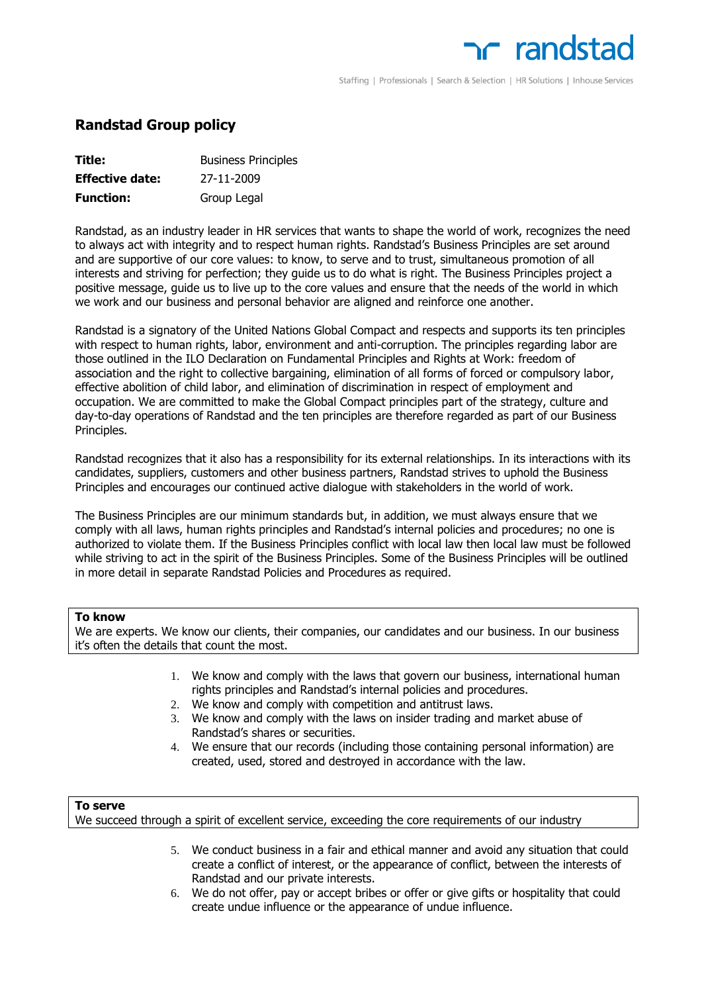# **next** randstar

Staffing | Professionals | Search & Selection | HR Solutions | Inhouse Services

## **Randstad Group policy**

| Title:                 | <b>Business Principles</b> |
|------------------------|----------------------------|
| <b>Effective date:</b> | 27-11-2009                 |
| <b>Function:</b>       | Group Legal                |

Randstad, as an industry leader in HR services that wants to shape the world of work, recognizes the need to always act with integrity and to respect human rights. Randstad's Business Principles are set around and are supportive of our core values: to know, to serve and to trust, simultaneous promotion of all interests and striving for perfection; they guide us to do what is right. The Business Principles project a positive message, guide us to live up to the core values and ensure that the needs of the world in which we work and our business and personal behavior are aligned and reinforce one another.

Randstad is a signatory of the United Nations Global Compact and respects and supports its ten principles with respect to human rights, labor, environment and anti-corruption. The principles regarding labor are those outlined in the ILO Declaration on Fundamental Principles and Rights at Work: freedom of association and the right to collective bargaining, elimination of all forms of forced or compulsory labor, effective abolition of child labor, and elimination of discrimination in respect of employment and occupation. We are committed to make the Global Compact principles part of the strategy, culture and day-to-day operations of Randstad and the ten principles are therefore regarded as part of our Business Principles.

Randstad recognizes that it also has a responsibility for its external relationships. In its interactions with its candidates, suppliers, customers and other business partners, Randstad strives to uphold the Business Principles and encourages our continued active dialogue with stakeholders in the world of work.

The Business Principles are our minimum standards but, in addition, we must always ensure that we comply with all laws, human rights principles and Randstad's internal policies and procedures; no one is authorized to violate them. If the Business Principles conflict with local law then local law must be followed while striving to act in the spirit of the Business Principles. Some of the Business Principles will be outlined in more detail in separate Randstad Policies and Procedures as required.

## **To know**

We are experts. We know our clients, their companies, our candidates and our business. In our business it's often the details that count the most.

- 1. We know and comply with the laws that govern our business, international human rights principles and Randstad's internal policies and procedures.
- 2. We know and comply with competition and antitrust laws.
- 3. We know and comply with the laws on insider trading and market abuse of Randstad's shares or securities.
- 4. We ensure that our records (including those containing personal information) are created, used, stored and destroyed in accordance with the law.

## **To serve**

We succeed through a spirit of excellent service, exceeding the core requirements of our industry

- 5. We conduct business in a fair and ethical manner and avoid any situation that could create a conflict of interest, or the appearance of conflict, between the interests of Randstad and our private interests.
- 6. We do not offer, pay or accept bribes or offer or give gifts or hospitality that could create undue influence or the appearance of undue influence.